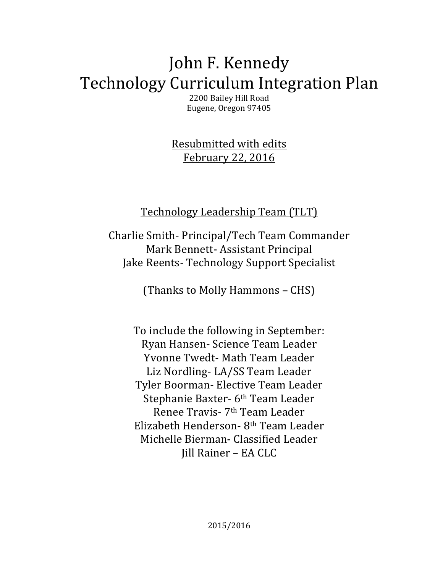# John F. Kennedy Technology Curriculum Integration Plan

2200 Bailey Hill Road Eugene, Oregon 97405

Resubmitted with edits February 22, 2016

## Technology Leadership Team (TLT)

Charlie Smith- Principal/Tech Team Commander Mark Bennett- Assistant Principal Jake Reents- Technology Support Specialist

(Thanks to Molly Hammons – CHS)

To include the following in September: Ryan Hansen- Science Team Leader Yvonne Twedt- Math Team Leader Liz Nordling-LA/SS Team Leader Tyler Boorman- Elective Team Leader Stephanie Baxter- 6<sup>th</sup> Team Leader Renee Travis- 7th Team Leader Elizabeth Henderson- 8th Team Leader Michelle Bierman- Classified Leader Jill Rainer - EA CLC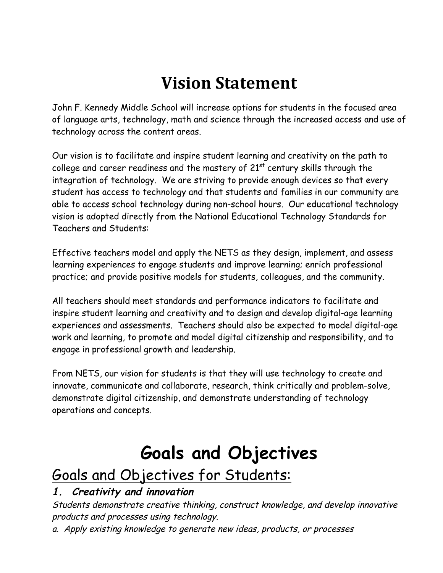# **Vision Statement**

John F. Kennedy Middle School will increase options for students in the focused area of language arts, technology, math and science through the increased access and use of technology across the content areas.

Our vision is to facilitate and inspire student learning and creativity on the path to college and career readiness and the mastery of  $21^{st}$  century skills through the integration of technology. We are striving to provide enough devices so that every student has access to technology and that students and families in our community are able to access school technology during non-school hours. Our educational technology vision is adopted directly from the National Educational Technology Standards for Teachers and Students:

Effective teachers model and apply the NETS as they design, implement, and assess learning experiences to engage students and improve learning; enrich professional practice; and provide positive models for students, colleagues, and the community.

All teachers should meet standards and performance indicators to facilitate and inspire student learning and creativity and to design and develop digital-age learning experiences and assessments. Teachers should also be expected to model digital-age work and learning, to promote and model digital citizenship and responsibility, and to engage in professional growth and leadership.

From NETS, our vision for students is that they will use technology to create and innovate, communicate and collaborate, research, think critically and problem-solve, demonstrate digital citizenship, and demonstrate understanding of technology operations and concepts.

# **Goals and Objectives**

## Goals and Objectives for Students:

## **1. Creativity and innovation**

Students demonstrate creative thinking, construct knowledge, and develop innovative products and processes using technology.

a. Apply existing knowledge to generate new ideas, products, or processes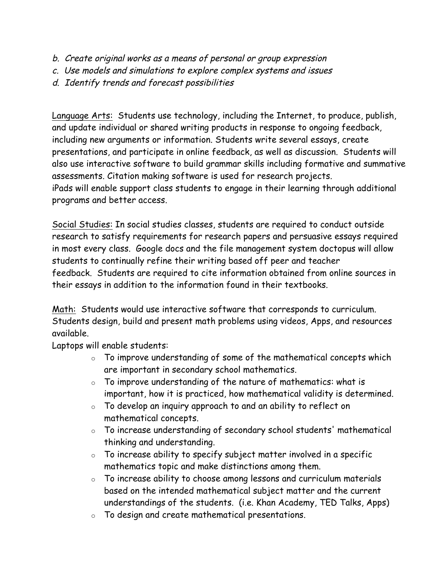- b. Create original works as a means of personal or group expression
- c. Use models and simulations to explore complex systems and issues
- d. Identify trends and forecast possibilities

Language Arts: Students use technology, including the Internet, to produce, publish, and update individual or shared writing products in response to ongoing feedback, including new arguments or information. Students write several essays, create presentations, and participate in online feedback, as well as discussion. Students will also use interactive software to build grammar skills including formative and summative assessments. Citation making software is used for research projects. iPads will enable support class students to engage in their learning through additional programs and better access.

Social Studies: In social studies classes, students are required to conduct outside research to satisfy requirements for research papers and persuasive essays required in most every class. Google docs and the file management system doctopus will allow students to continually refine their writing based off peer and teacher feedback. Students are required to cite information obtained from online sources in their essays in addition to the information found in their textbooks.

Math: Students would use interactive software that corresponds to curriculum. Students design, build and present math problems using videos, Apps, and resources available.

Laptops will enable students:

- $\circ$  To improve understanding of some of the mathematical concepts which are important in secondary school mathematics.
- $\circ$  To improve understanding of the nature of mathematics: what is important, how it is practiced, how mathematical validity is determined.
- $\circ$  To develop an inquiry approach to and an ability to reflect on mathematical concepts.
- o To increase understanding of secondary school students' mathematical thinking and understanding.
- $\circ$  To increase ability to specify subject matter involved in a specific mathematics topic and make distinctions among them.
- $\circ$  To increase ability to choose among lessons and curriculum materials based on the intended mathematical subject matter and the current understandings of the students. (i.e. Khan Academy, TED Talks, Apps)
- o To design and create mathematical presentations.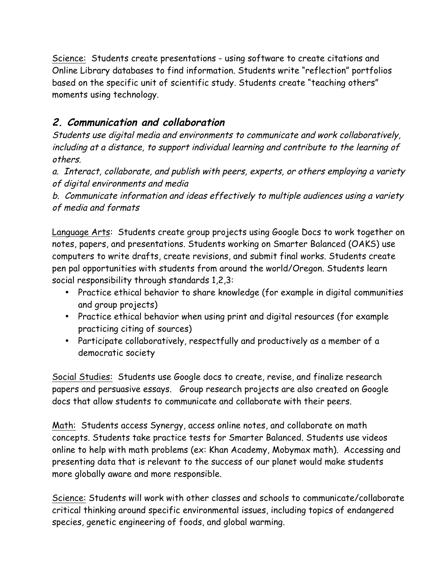Science: Students create presentations - using software to create citations and Online Library databases to find information. Students write "reflection" portfolios based on the specific unit of scientific study. Students create "teaching others" moments using technology.

## **2. Communication and collaboration**

Students use digital media and environments to communicate and work collaboratively, including at a distance, to support individual learning and contribute to the learning of others.

a. Interact, collaborate, and publish with peers, experts, or others employing a variety of digital environments and media

b. Communicate information and ideas effectively to multiple audiences using a variety of media and formats

Language Arts: Students create group projects using Google Docs to work together on notes, papers, and presentations. Students working on Smarter Balanced (OAKS) use computers to write drafts, create revisions, and submit final works. Students create pen pal opportunities with students from around the world/Oregon. Students learn social responsibility through standards 1,2,3:

- Practice ethical behavior to share knowledge (for example in digital communities and group projects)
- Practice ethical behavior when using print and digital resources (for example practicing citing of sources)
- Participate collaboratively, respectfully and productively as a member of a democratic society

Social Studies: Students use Google docs to create, revise, and finalize research papers and persuasive essays. Group research projects are also created on Google docs that allow students to communicate and collaborate with their peers.

Math: Students access Synergy, access online notes, and collaborate on math concepts. Students take practice tests for Smarter Balanced. Students use videos online to help with math problems (ex: Khan Academy, Mobymax math). Accessing and presenting data that is relevant to the success of our planet would make students more globally aware and more responsible.

Science: Students will work with other classes and schools to communicate/collaborate critical thinking around specific environmental issues, including topics of endangered species, genetic engineering of foods, and global warming.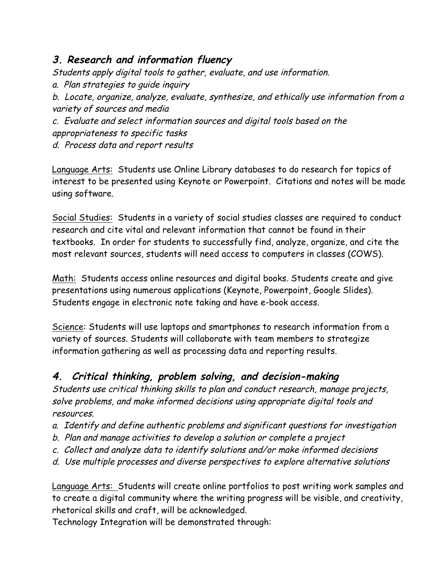### **3. Research and information fluency**

Students apply digital tools to gather, evaluate, and use information.

a. Plan strategies to guide inquiry

b. Locate, organize, analyze, evaluate, synthesize, and ethically use information from a variety of sources and media

c. Evaluate and select information sources and digital tools based on the appropriateness to specific tasks d. Process data and report results

Language Arts: Students use Online Library databases to do research for topics of interest to be presented using Keynote or Powerpoint. Citations and notes will be made using software.

Social Studies: Students in a variety of social studies classes are required to conduct research and cite vital and relevant information that cannot be found in their textbooks. In order for students to successfully find, analyze, organize, and cite the most relevant sources, students will need access to computers in classes (COWS).

Math: Students access online resources and digital books. Students create and give presentations using numerous applications (Keynote, Powerpoint, Google Slides). Students engage in electronic note taking and have e-book access.

Science: Students will use laptops and smartphones to research information from a variety of sources. Students will collaborate with team members to strategize information gathering as well as processing data and reporting results.

## **4. Critical thinking, problem solving, and decision-making**

Students use critical thinking skills to plan and conduct research, manage projects, solve problems, and make informed decisions using appropriate digital tools and resources.

- a. Identify and define authentic problems and significant questions for investigation
- b. Plan and manage activities to develop a solution or complete a project
- c. Collect and analyze data to identify solutions and/or make informed decisions
- d. Use multiple processes and diverse perspectives to explore alternative solutions

Language Arts: Students will create online portfolios to post writing work samples and to create a digital community where the writing progress will be visible, and creativity, rhetorical skills and craft, will be acknowledged.

Technology Integration will be demonstrated through: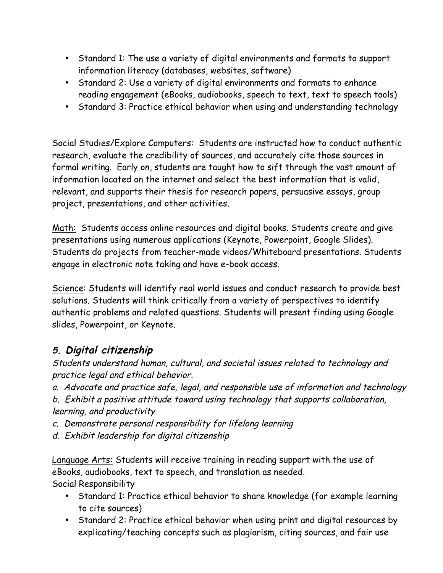- Standard 1: The use a variety of digital environments and formats to support information literacy (databases, websites, software)
- Standard 2: Use a variety of digital environments and formats to enhance reading engagement (eBooks, audiobooks, speech to text, text to speech tools)
- Standard 3: Practice ethical behavior when using and understanding technology

Social Studies/Explore Computers: Students are instructed how to conduct authentic research, evaluate the credibility of sources, and accurately cite those sources in formal writing. Early on, students are taught how to sift through the vast amount of information located on the internet and select the best information that is valid, relevant, and supports their thesis for research papers, persuasive essays, group project, presentations, and other activities.

Math: Students access online resources and digital books. Students create and give presentations using numerous applications (Keynote, Powerpoint, Google Slides). Students do projects from teacher-made videos/Whiteboard presentations. Students engage in electronic note taking and have e-book access.

Science: Students will identify real world issues and conduct research to provide best solutions. Students will think critically from a variety of perspectives to identify authentic problems and related questions. Students will present finding using Google slides, Powerpoint, or Keynote.

### **5. Digital citizenship**

Students understand human, cultural, and societal issues related to technology and practice legal and ethical behavior.

a. Advocate and practice safe, legal, and responsible use of information and technology

b. Exhibit a positive attitude toward using technology that supports collaboration, learning, and productivity

c. Demonstrate personal responsibility for lifelong learning

d. Exhibit leadership for digital citizenship

Language Arts: Students will receive training in reading support with the use of eBooks, audiobooks, text to speech, and translation as needed.

Social Responsibility

- Standard 1: Practice ethical behavior to share knowledge (for example learning to cite sources)
- Standard 2: Practice ethical behavior when using print and digital resources by explicating/teaching concepts such as plagiarism, citing sources, and fair use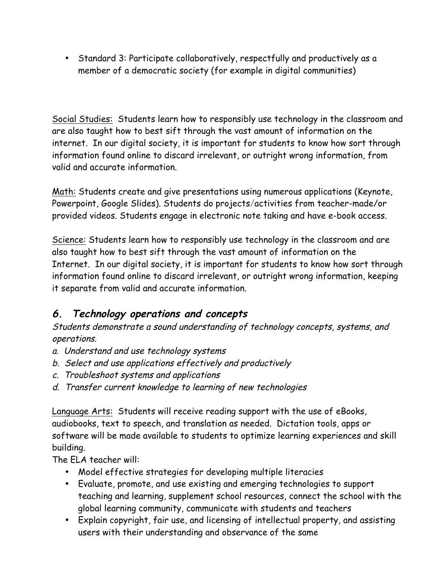• Standard 3: Participate collaboratively, respectfully and productively as a member of a democratic society (for example in digital communities)

Social Studies: Students learn how to responsibly use technology in the classroom and are also taught how to best sift through the vast amount of information on the internet. In our digital society, it is important for students to know how sort through information found online to discard irrelevant, or outright wrong information, from valid and accurate information.

Math: Students create and give presentations using numerous applications (Keynote, Powerpoint, Google Slides). Students do projects/activities from teacher-made/or provided videos. Students engage in electronic note taking and have e-book access.

Science: Students learn how to responsibly use technology in the classroom and are also taught how to best sift through the vast amount of information on the Internet. In our digital society, it is important for students to know how sort through information found online to discard irrelevant, or outright wrong information, keeping it separate from valid and accurate information.

## **6. Technology operations and concepts**

Students demonstrate a sound understanding of technology concepts, systems, and operations.

- a. Understand and use technology systems
- b. Select and use applications effectively and productively
- c. Troubleshoot systems and applications
- d. Transfer current knowledge to learning of new technologies

Language Arts: Students will receive reading support with the use of eBooks, audiobooks, text to speech, and translation as needed. Dictation tools, apps or software will be made available to students to optimize learning experiences and skill building.

The ELA teacher will:

- Model effective strategies for developing multiple literacies
- Evaluate, promote, and use existing and emerging technologies to support teaching and learning, supplement school resources, connect the school with the global learning community, communicate with students and teachers
- Explain copyright, fair use, and licensing of intellectual property, and assisting users with their understanding and observance of the same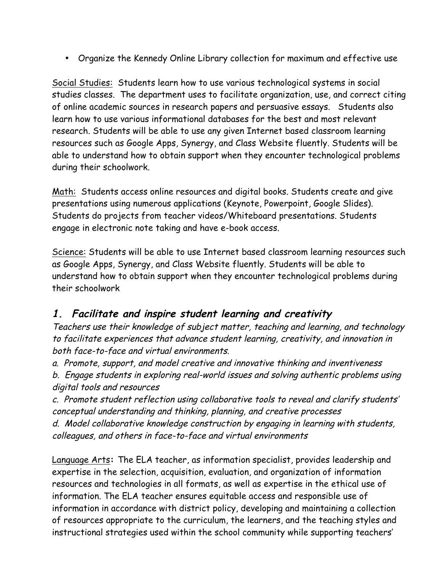• Organize the Kennedy Online Library collection for maximum and effective use

Social Studies: Students learn how to use various technological systems in social studies classes. The department uses to facilitate organization, use, and correct citing of online academic sources in research papers and persuasive essays. Students also learn how to use various informational databases for the best and most relevant research. Students will be able to use any given Internet based classroom learning resources such as Google Apps, Synergy, and Class Website fluently. Students will be able to understand how to obtain support when they encounter technological problems during their schoolwork.

Math: Students access online resources and digital books. Students create and give presentations using numerous applications (Keynote, Powerpoint, Google Slides). Students do projects from teacher videos/Whiteboard presentations. Students engage in electronic note taking and have e-book access.

Science: Students will be able to use Internet based classroom learning resources such as Google Apps, Synergy, and Class Website fluently. Students will be able to understand how to obtain support when they encounter technological problems during their schoolwork

#### **1. Facilitate and inspire student learning and creativity**

Teachers use their knowledge of subject matter, teaching and learning, and technology to facilitate experiences that advance student learning, creativity, and innovation in both face-to-face and virtual environments.

a. Promote, support, and model creative and innovative thinking and inventiveness

b. Engage students in exploring real-world issues and solving authentic problems using digital tools and resources

c. Promote student reflection using collaborative tools to reveal and clarify students' conceptual understanding and thinking, planning, and creative processes

d. Model collaborative knowledge construction by engaging in learning with students, colleagues, and others in face-to-face and virtual environments

Language Arts**:** The ELA teacher, as information specialist, provides leadership and expertise in the selection, acquisition, evaluation, and organization of information resources and technologies in all formats, as well as expertise in the ethical use of information. The ELA teacher ensures equitable access and responsible use of information in accordance with district policy, developing and maintaining a collection of resources appropriate to the curriculum, the learners, and the teaching styles and instructional strategies used within the school community while supporting teachers'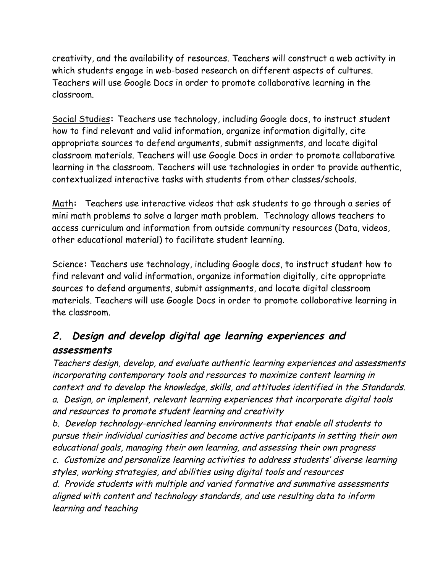creativity, and the availability of resources. Teachers will construct a web activity in which students engage in web-based research on different aspects of cultures. Teachers will use Google Docs in order to promote collaborative learning in the classroom.

Social Studies**:** Teachers use technology, including Google docs, to instruct student how to find relevant and valid information, organize information digitally, cite appropriate sources to defend arguments, submit assignments, and locate digital classroom materials. Teachers will use Google Docs in order to promote collaborative learning in the classroom. Teachers will use technologies in order to provide authentic, contextualized interactive tasks with students from other classes/schools.

Math**:** Teachers use interactive videos that ask students to go through a series of mini math problems to solve a larger math problem. Technology allows teachers to access curriculum and information from outside community resources (Data, videos, other educational material) to facilitate student learning.

Science**:** Teachers use technology, including Google docs, to instruct student how to find relevant and valid information, organize information digitally, cite appropriate sources to defend arguments, submit assignments, and locate digital classroom materials. Teachers will use Google Docs in order to promote collaborative learning in the classroom.

## **2. Design and develop digital age learning experiences and assessments**

Teachers design, develop, and evaluate authentic learning experiences and assessments incorporating contemporary tools and resources to maximize content learning in context and to develop the knowledge, skills, and attitudes identified in the Standards. a. Design, or implement, relevant learning experiences that incorporate digital tools and resources to promote student learning and creativity

b. Develop technology-enriched learning environments that enable all students to pursue their individual curiosities and become active participants in setting their own educational goals, managing their own learning, and assessing their own progress

c. Customize and personalize learning activities to address students' diverse learning styles, working strategies, and abilities using digital tools and resources

d. Provide students with multiple and varied formative and summative assessments aligned with content and technology standards, and use resulting data to inform learning and teaching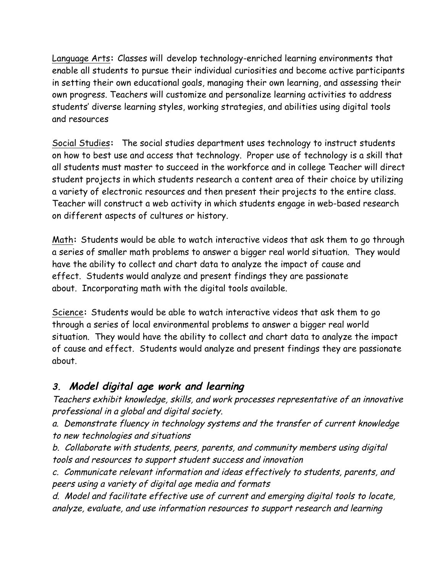Language Arts**:** Classes will develop technology-enriched learning environments that enable all students to pursue their individual curiosities and become active participants in setting their own educational goals, managing their own learning, and assessing their own progress. Teachers will customize and personalize learning activities to address students' diverse learning styles, working strategies, and abilities using digital tools and resources

Social Studies**:** The social studies department uses technology to instruct students on how to best use and access that technology. Proper use of technology is a skill that all students must master to succeed in the workforce and in college Teacher will direct student projects in which students research a content area of their choice by utilizing a variety of electronic resources and then present their projects to the entire class. Teacher will construct a web activity in which students engage in web-based research on different aspects of cultures or history.

Math**:** Students would be able to watch interactive videos that ask them to go through a series of smaller math problems to answer a bigger real world situation. They would have the ability to collect and chart data to analyze the impact of cause and effect. Students would analyze and present findings they are passionate about. Incorporating math with the digital tools available.

Science**:** Students would be able to watch interactive videos that ask them to go through a series of local environmental problems to answer a bigger real world situation. They would have the ability to collect and chart data to analyze the impact of cause and effect. Students would analyze and present findings they are passionate about.

### **3. Model digital age work and learning**

Teachers exhibit knowledge, skills, and work processes representative of an innovative professional in a global and digital society.

a. Demonstrate fluency in technology systems and the transfer of current knowledge to new technologies and situations

b. Collaborate with students, peers, parents, and community members using digital tools and resources to support student success and innovation

c. Communicate relevant information and ideas effectively to students, parents, and peers using a variety of digital age media and formats

d. Model and facilitate effective use of current and emerging digital tools to locate, analyze, evaluate, and use information resources to support research and learning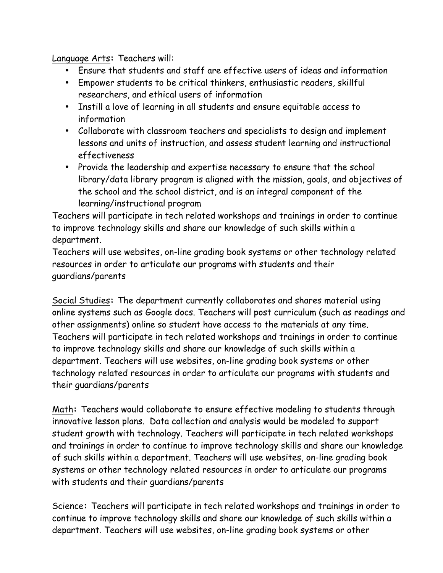Language Arts**:** Teachers will:

- Ensure that students and staff are effective users of ideas and information
- Empower students to be critical thinkers, enthusiastic readers, skillful researchers, and ethical users of information
- Instill a love of learning in all students and ensure equitable access to information
- Collaborate with classroom teachers and specialists to design and implement lessons and units of instruction, and assess student learning and instructional effectiveness
- Provide the leadership and expertise necessary to ensure that the school library/data library program is aligned with the mission, goals, and objectives of the school and the school district, and is an integral component of the learning/instructional program

Teachers will participate in tech related workshops and trainings in order to continue to improve technology skills and share our knowledge of such skills within a department.

Teachers will use websites, on-line grading book systems or other technology related resources in order to articulate our programs with students and their guardians/parents

Social Studies**:** The department currently collaborates and shares material using online systems such as Google docs. Teachers will post curriculum (such as readings and other assignments) online so student have access to the materials at any time. Teachers will participate in tech related workshops and trainings in order to continue to improve technology skills and share our knowledge of such skills within a department. Teachers will use websites, on-line grading book systems or other technology related resources in order to articulate our programs with students and their guardians/parents

Math**:** Teachers would collaborate to ensure effective modeling to students through innovative lesson plans. Data collection and analysis would be modeled to support student growth with technology. Teachers will participate in tech related workshops and trainings in order to continue to improve technology skills and share our knowledge of such skills within a department. Teachers will use websites, on-line grading book systems or other technology related resources in order to articulate our programs with students and their guardians/parents

Science**:** Teachers will participate in tech related workshops and trainings in order to continue to improve technology skills and share our knowledge of such skills within a department. Teachers will use websites, on-line grading book systems or other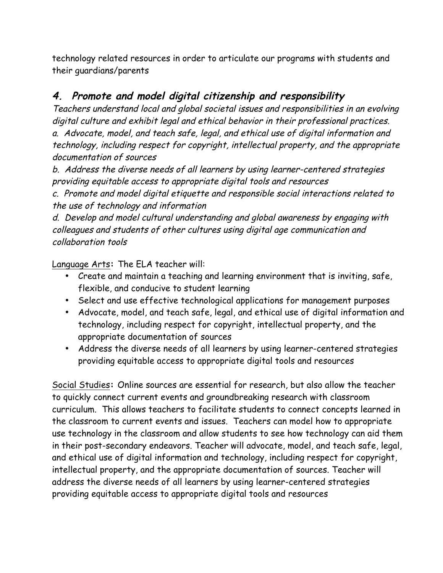technology related resources in order to articulate our programs with students and their guardians/parents

### **4. Promote and model digital citizenship and responsibility**

Teachers understand local and global societal issues and responsibilities in an evolving digital culture and exhibit legal and ethical behavior in their professional practices. a. Advocate, model, and teach safe, legal, and ethical use of digital information and technology, including respect for copyright, intellectual property, and the appropriate documentation of sources

b. Address the diverse needs of all learners by using learner-centered strategies providing equitable access to appropriate digital tools and resources

c. Promote and model digital etiquette and responsible social interactions related to the use of technology and information

d. Develop and model cultural understanding and global awareness by engaging with colleagues and students of other cultures using digital age communication and collaboration tools

Language Arts**:** The ELA teacher will:

- Create and maintain a teaching and learning environment that is inviting, safe, flexible, and conducive to student learning
- Select and use effective technological applications for management purposes
- Advocate, model, and teach safe, legal, and ethical use of digital information and technology, including respect for copyright, intellectual property, and the appropriate documentation of sources
- Address the diverse needs of all learners by using learner-centered strategies providing equitable access to appropriate digital tools and resources

Social Studies**:** Online sources are essential for research, but also allow the teacher to quickly connect current events and groundbreaking research with classroom curriculum. This allows teachers to facilitate students to connect concepts learned in the classroom to current events and issues. Teachers can model how to appropriate use technology in the classroom and allow students to see how technology can aid them in their post-secondary endeavors. Teacher will advocate, model, and teach safe, legal, and ethical use of digital information and technology, including respect for copyright, intellectual property, and the appropriate documentation of sources. Teacher will address the diverse needs of all learners by using learner-centered strategies providing equitable access to appropriate digital tools and resources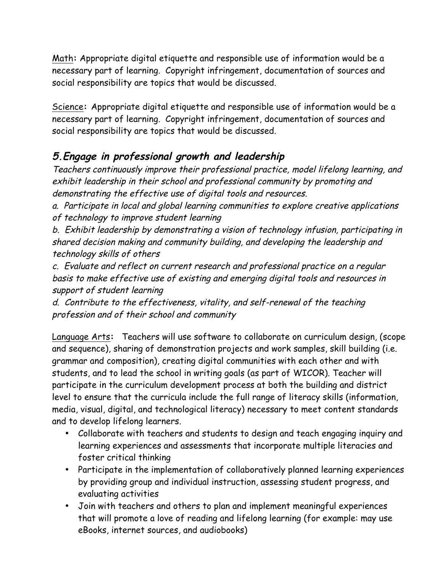Math**:** Appropriate digital etiquette and responsible use of information would be a necessary part of learning. Copyright infringement, documentation of sources and social responsibility are topics that would be discussed.

Science**:** Appropriate digital etiquette and responsible use of information would be a necessary part of learning. Copyright infringement, documentation of sources and social responsibility are topics that would be discussed.

## **5.Engage in professional growth and leadership**

Teachers continuously improve their professional practice, model lifelong learning, and exhibit leadership in their school and professional community by promoting and demonstrating the effective use of digital tools and resources.

a. Participate in local and global learning communities to explore creative applications of technology to improve student learning

b. Exhibit leadership by demonstrating a vision of technology infusion, participating in shared decision making and community building, and developing the leadership and technology skills of others

c. Evaluate and reflect on current research and professional practice on a regular basis to make effective use of existing and emerging digital tools and resources in support of student learning

d. Contribute to the effectiveness, vitality, and self-renewal of the teaching profession and of their school and community

Language Arts**:** Teachers will use software to collaborate on curriculum design, (scope and sequence), sharing of demonstration projects and work samples, skill building (i.e. grammar and composition), creating digital communities with each other and with students, and to lead the school in writing goals (as part of WICOR). Teacher will participate in the curriculum development process at both the building and district level to ensure that the curricula include the full range of literacy skills (information, media, visual, digital, and technological literacy) necessary to meet content standards and to develop lifelong learners.

- Collaborate with teachers and students to design and teach engaging inquiry and learning experiences and assessments that incorporate multiple literacies and foster critical thinking
- Participate in the implementation of collaboratively planned learning experiences by providing group and individual instruction, assessing student progress, and evaluating activities
- Join with teachers and others to plan and implement meaningful experiences that will promote a love of reading and lifelong learning (for example: may use eBooks, internet sources, and audiobooks)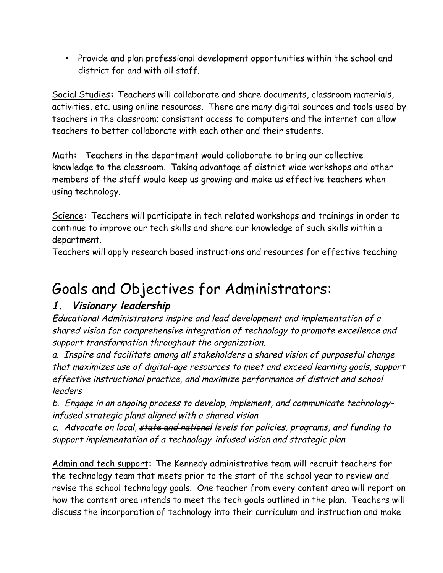• Provide and plan professional development opportunities within the school and district for and with all staff.

Social Studies**:** Teachers will collaborate and share documents, classroom materials, activities, etc. using online resources. There are many digital sources and tools used by teachers in the classroom; consistent access to computers and the internet can allow teachers to better collaborate with each other and their students.

Math**:** Teachers in the department would collaborate to bring our collective knowledge to the classroom. Taking advantage of district wide workshops and other members of the staff would keep us growing and make us effective teachers when using technology.

Science**:** Teachers will participate in tech related workshops and trainings in order to continue to improve our tech skills and share our knowledge of such skills within a department.

Teachers will apply research based instructions and resources for effective teaching

## Goals and Objectives for Administrators:

### **1. Visionary leadership**

Educational Administrators inspire and lead development and implementation of a shared vision for comprehensive integration of technology to promote excellence and support transformation throughout the organization.

a. Inspire and facilitate among all stakeholders a shared vision of purposeful change that maximizes use of digital-age resources to meet and exceed learning goals, support effective instructional practice, and maximize performance of district and school leaders

b. Engage in an ongoing process to develop, implement, and communicate technologyinfused strategic plans aligned with a shared vision

c. Advocate on local, state and national levels for policies, programs, and funding to support implementation of a technology-infused vision and strategic plan

Admin and tech support**:** The Kennedy administrative team will recruit teachers for the technology team that meets prior to the start of the school year to review and revise the school technology goals. One teacher from every content area will report on how the content area intends to meet the tech goals outlined in the plan. Teachers will discuss the incorporation of technology into their curriculum and instruction and make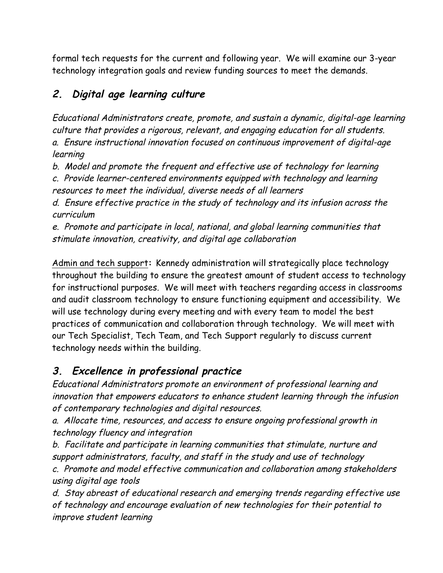formal tech requests for the current and following year. We will examine our 3-year technology integration goals and review funding sources to meet the demands.

## **2. Digital age learning culture**

Educational Administrators create, promote, and sustain a dynamic, digital-age learning culture that provides a rigorous, relevant, and engaging education for all students. a. Ensure instructional innovation focused on continuous improvement of digital-age learning

b. Model and promote the frequent and effective use of technology for learning

c. Provide learner-centered environments equipped with technology and learning resources to meet the individual, diverse needs of all learners

d. Ensure effective practice in the study of technology and its infusion across the curriculum

e. Promote and participate in local, national, and global learning communities that stimulate innovation, creativity, and digital age collaboration

Admin and tech support**:** Kennedy administration will strategically place technology throughout the building to ensure the greatest amount of student access to technology for instructional purposes. We will meet with teachers regarding access in classrooms and audit classroom technology to ensure functioning equipment and accessibility. We will use technology during every meeting and with every team to model the best practices of communication and collaboration through technology. We will meet with our Tech Specialist, Tech Team, and Tech Support regularly to discuss current technology needs within the building.

## **3. Excellence in professional practice**

Educational Administrators promote an environment of professional learning and innovation that empowers educators to enhance student learning through the infusion of contemporary technologies and digital resources.

a. Allocate time, resources, and access to ensure ongoing professional growth in technology fluency and integration

b. Facilitate and participate in learning communities that stimulate, nurture and support administrators, faculty, and staff in the study and use of technology

c. Promote and model effective communication and collaboration among stakeholders using digital age tools

d. Stay abreast of educational research and emerging trends regarding effective use of technology and encourage evaluation of new technologies for their potential to improve student learning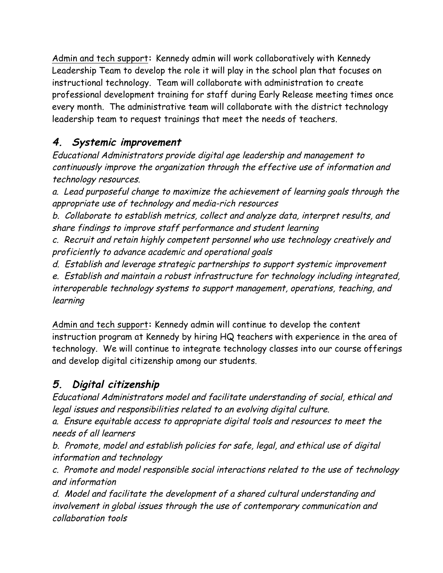Admin and tech support**:** Kennedy admin will work collaboratively with Kennedy Leadership Team to develop the role it will play in the school plan that focuses on instructional technology. Team will collaborate with administration to create professional development training for staff during Early Release meeting times once every month. The administrative team will collaborate with the district technology leadership team to request trainings that meet the needs of teachers.

## **4. Systemic improvement**

Educational Administrators provide digital age leadership and management to continuously improve the organization through the effective use of information and technology resources.

a. Lead purposeful change to maximize the achievement of learning goals through the appropriate use of technology and media-rich resources

b. Collaborate to establish metrics, collect and analyze data, interpret results, and share findings to improve staff performance and student learning

c. Recruit and retain highly competent personnel who use technology creatively and proficiently to advance academic and operational goals

d. Establish and leverage strategic partnerships to support systemic improvement

e. Establish and maintain a robust infrastructure for technology including integrated, interoperable technology systems to support management, operations, teaching, and learning

Admin and tech support**:** Kennedy admin will continue to develop the content instruction program at Kennedy by hiring HQ teachers with experience in the area of technology. We will continue to integrate technology classes into our course offerings and develop digital citizenship among our students.

## **5. Digital citizenship**

Educational Administrators model and facilitate understanding of social, ethical and legal issues and responsibilities related to an evolving digital culture.

a. Ensure equitable access to appropriate digital tools and resources to meet the needs of all learners

b. Promote, model and establish policies for safe, legal, and ethical use of digital information and technology

c. Promote and model responsible social interactions related to the use of technology and information

d. Model and facilitate the development of a shared cultural understanding and involvement in global issues through the use of contemporary communication and collaboration tools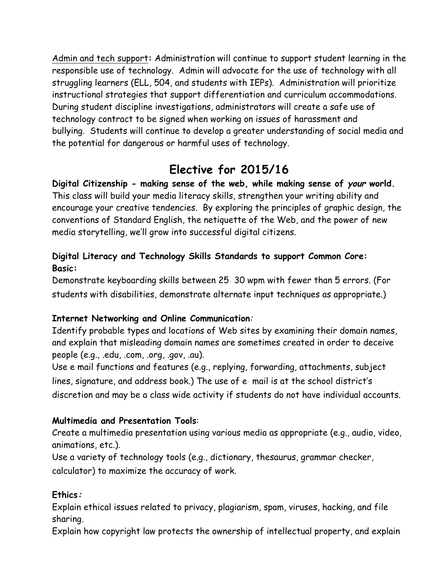Admin and tech support**:** Administration will continue to support student learning in the responsible use of technology. Admin will advocate for the use of technology with all struggling learners (ELL, 504, and students with IEPs). Administration will prioritize instructional strategies that support differentiation and curriculum accommodations. During student discipline investigations, administrators will create a safe use of technology contract to be signed when working on issues of harassment and bullying. Students will continue to develop a greater understanding of social media and the potential for dangerous or harmful uses of technology.

## **Elective for 2015/16**

**Digital Citizenship - making sense of the web, while making sense of your world.** This class will build your media literacy skills, strengthen your writing ability and encourage your creative tendencies. By exploring the principles of graphic design, the conventions of Standard English, the netiquette of the Web, and the power of new media storytelling, we'll grow into successful digital citizens.

#### **Digital Literacy and Technology Skills Standards to support Common Core: Basic:**

Demonstrate keyboarding skills between 25‐ 30 wpm with fewer than 5 errors. (For students with disabilities, demonstrate alternate input techniques as appropriate.)

#### **Internet Networking and Online Communication**:

Identify probable types and locations of Web sites by examining their domain names, and explain that misleading domain names are sometimes created in order to deceive people (e.g., .edu, .com, .org, .gov, .au).

Use e-mail functions and features (e.g., replying, forwarding, attachments, subject lines, signature, and address book.) The use of e‐ mail is at the school district's discretion and may be a class‐wide activity if students do not have individual accounts.

#### **Multimedia and Presentation Tools**:

Create a multimedia presentation using various media as appropriate (e.g., audio, video, animations, etc.).

Use a variety of technology tools (e.g., dictionary, thesaurus, grammar‐checker, calculator) to maximize the accuracy of work.

#### **Ethics:**

Explain ethical issues related to privacy, plagiarism, spam, viruses, hacking, and file sharing.

Explain how copyright law protects the ownership of intellectual property, and explain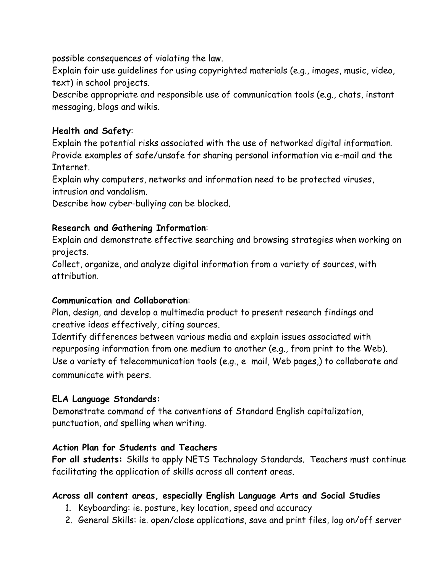possible consequences of violating the law.

Explain fair use guidelines for using copyrighted materials (e.g., images, music, video, text) in school projects.

Describe appropriate and responsible use of communication tools (e.g., chats, instant messaging, blogs and wikis.

#### **Health and Safety**:

Explain the potential risks associated with the use of networked digital information. Provide examples of safe/unsafe for sharing personal information via e-mail and the Internet.

Explain why computers, networks and information need to be protected viruses, intrusion and vandalism.

Describe how cyber-bullying can be blocked.

#### **Research and Gathering Information**:

Explain and demonstrate effective searching and browsing strategies when working on projects.

Collect, organize, and analyze digital information from a variety of sources, with attribution.

#### **Communication and Collaboration**:

Plan, design, and develop a multimedia product to present research findings and creative ideas effectively, citing sources.

Identify differences between various media and explain issues associated with repurposing information from one medium to another (e.g., from print to the Web). Use a variety of telecommunication tools (e.g., e-mail, Web pages,) to collaborate and communicate with peers.

#### **ELA Language Standards:**

Demonstrate command of the conventions of Standard English capitalization, punctuation, and spelling when writing.

#### **Action Plan for Students and Teachers**

**For all students:** Skills to apply NETS Technology Standards. Teachers must continue facilitating the application of skills across all content areas.

#### **Across all content areas, especially English Language Arts and Social Studies**

- 1. Keyboarding: ie. posture, key location, speed and accuracy
- 2. General Skills: ie. open/close applications, save and print files, log on/off server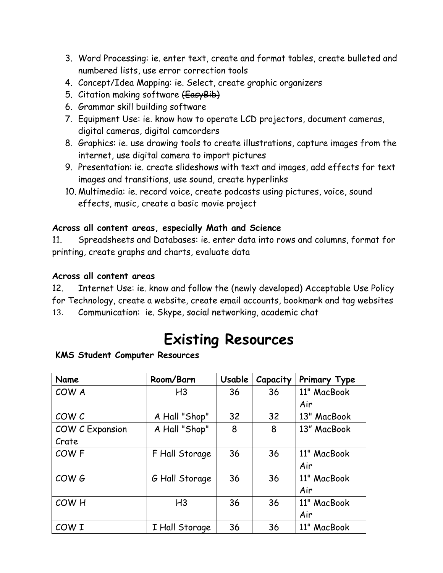- 3. Word Processing: ie. enter text, create and format tables, create bulleted and numbered lists, use error correction tools
- 4. Concept/Idea Mapping: ie. Select, create graphic organizers
- 5. Citation making software (EasyBib)
- 6. Grammar skill building software
- 7. Equipment Use: ie. know how to operate LCD projectors, document cameras, digital cameras, digital camcorders
- 8. Graphics: ie. use drawing tools to create illustrations, capture images from the internet, use digital camera to import pictures
- 9. Presentation: ie. create slideshows with text and images, add effects for text images and transitions, use sound, create hyperlinks
- 10. Multimedia: ie. record voice, create podcasts using pictures, voice, sound effects, music, create a basic movie project

#### **Across all content areas, especially Math and Science**

11. Spreadsheets and Databases: ie. enter data into rows and columns, format for printing, create graphs and charts, evaluate data

#### **Across all content areas**

12. Internet Use: ie. know and follow the (newly developed) Acceptable Use Policy for Technology, create a website, create email accounts, bookmark and tag websites 13. Communication: ie. Skype, social networking, academic chat

## **Existing Resources**

#### **KMS Student Computer Resources**

| Name                   | Room/Barn      | Usable | Capacity | Primary Type |
|------------------------|----------------|--------|----------|--------------|
| COW A                  | H <sub>3</sub> | 36     | 36       | 11" MacBook  |
|                        |                |        |          | Air          |
| COW C                  | A Hall "Shop"  | 32     | 32       | 13" MacBook  |
| <b>COW C Expansion</b> | A Hall "Shop"  | 8      | 8        | 13" MacBook  |
| Crate                  |                |        |          |              |
| COW <sub>F</sub>       | F Hall Storage | 36     | 36       | 11" MacBook  |
|                        |                |        |          | Air          |
| COW G                  | G Hall Storage | 36     | 36       | 11" MacBook  |
|                        |                |        |          | Air          |
| COW <sub>H</sub>       | H <sub>3</sub> | 36     | 36       | 11" MacBook  |
|                        |                |        |          | Air          |
| COW I                  | I Hall Storage | 36     | 36       | 11" MacBook  |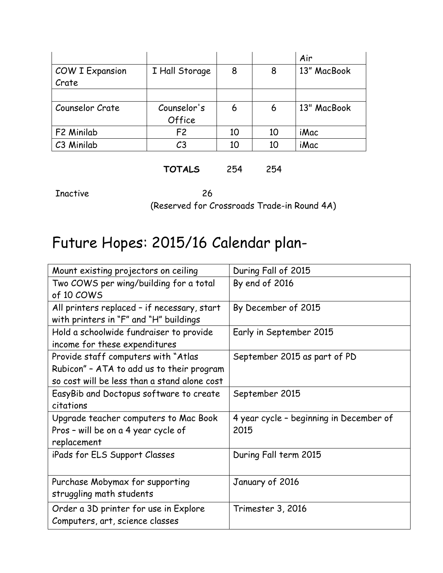|                        |                |    |    | Air         |
|------------------------|----------------|----|----|-------------|
| <b>COW I Expansion</b> | I Hall Storage | 8  | 8  | 13" MacBook |
| Crate                  |                |    |    |             |
|                        |                |    |    |             |
| Counselor Crate        | Counselor's    | 6  | 6  | 13" MacBook |
|                        | Office         |    |    |             |
| F2 Minilab             | F <sub>2</sub> | 10 | 10 | iMac        |
| C3 Minilab             | C <sub>3</sub> | 10 | 10 | <i>iMac</i> |

#### **TOTALS** 254 254

Inactive 26 (Reserved for Crossroads Trade-in Round 4A)

## Future Hopes: 2015/16 Calendar plan-

| Mount existing projectors on ceiling         | During Fall of 2015                     |  |  |
|----------------------------------------------|-----------------------------------------|--|--|
| Two COWS per wing/building for a total       | By end of 2016                          |  |  |
| of 10 COWS                                   |                                         |  |  |
| All printers replaced - if necessary, start  | By December of 2015                     |  |  |
| with printers in "F" and "H" buildings       |                                         |  |  |
| Hold a schoolwide fundraiser to provide      | Early in September 2015                 |  |  |
| income for these expenditures                |                                         |  |  |
| Provide staff computers with "Atlas          | September 2015 as part of PD            |  |  |
| Rubicon" - ATA to add us to their program    |                                         |  |  |
| so cost will be less than a stand alone cost |                                         |  |  |
| EasyBib and Doctopus software to create      | September 2015                          |  |  |
| citations                                    |                                         |  |  |
| Upgrade teacher computers to Mac Book        | 4 year cycle - beginning in December of |  |  |
| Pros - will be on a 4 year cycle of          | 2015                                    |  |  |
| replacement                                  |                                         |  |  |
| iPads for ELS Support Classes                | During Fall term 2015                   |  |  |
|                                              |                                         |  |  |
| Purchase Mobymax for supporting              | January of 2016                         |  |  |
| struggling math students                     |                                         |  |  |
| Order a 3D printer for use in Explore        | Trimester 3, 2016                       |  |  |
| Computers, art, science classes              |                                         |  |  |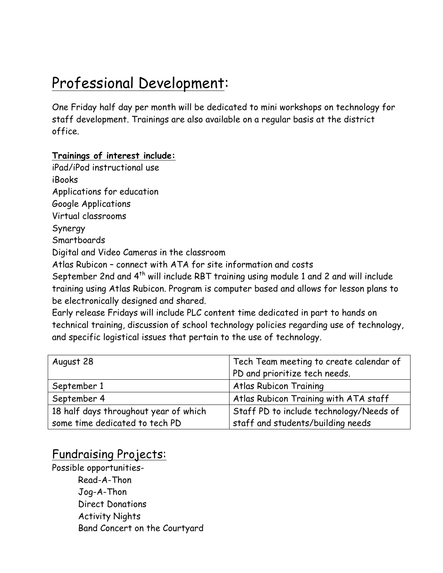## Professional Development:

One Friday half day per month will be dedicated to mini workshops on technology for staff development. Trainings are also available on a regular basis at the district office.

#### **Trainings of interest include:**

iPad/iPod instructional use iBooks Applications for education Google Applications Virtual classrooms Synergy Smartboards Digital and Video Cameras in the classroom Atlas Rubicon – connect with ATA for site information and costs September 2nd and 4<sup>th</sup> will include RBT training using module 1 and 2 and will include training using Atlas Rubicon. Program is computer based and allows for lesson plans to be electronically designed and shared. Early release Fridays will include PLC content time dedicated in part to hands on

technical training, discussion of school technology policies regarding use of technology, and specific logistical issues that pertain to the use of technology.

| August 28                             | Tech Team meeting to create calendar of |
|---------------------------------------|-----------------------------------------|
|                                       | PD and prioritize tech needs.           |
| September 1                           | Atlas Rubicon Training                  |
| September 4                           | Atlas Rubicon Training with ATA staff   |
| 18 half days throughout year of which | Staff PD to include technology/Needs of |
| some time dedicated to tech PD        | staff and students/building needs       |

## Fundraising Projects:

Possible opportunities-Read-A-Thon Jog-A-Thon Direct Donations Activity Nights Band Concert on the Courtyard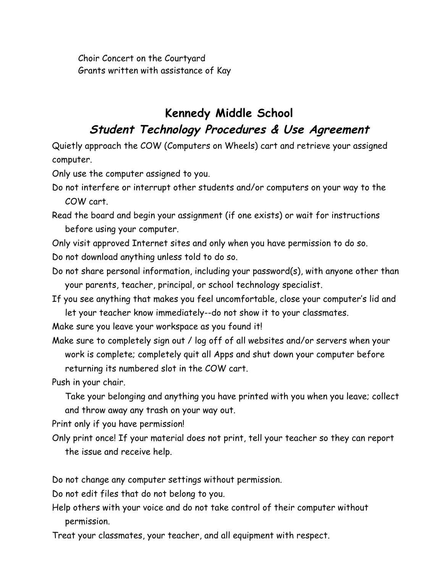Choir Concert on the Courtyard Grants written with assistance of Kay

## **Kennedy Middle School Student Technology Procedures & Use Agreement**

Quietly approach the COW (Computers on Wheels) cart and retrieve your assigned computer.

Only use the computer assigned to you.

- Do not interfere or interrupt other students and/or computers on your way to the COW cart.
- Read the board and begin your assignment (if one exists) or wait for instructions before using your computer.

Only visit approved Internet sites and only when you have permission to do so. Do not download anything unless told to do so.

- Do not share personal information, including your password(s), with anyone other than your parents, teacher, principal, or school technology specialist.
- If you see anything that makes you feel uncomfortable, close your computer's lid and let your teacher know immediately--do not show it to your classmates.

Make sure you leave your workspace as you found it!

Make sure to completely sign out / log off of all websites and/or servers when your work is complete; completely quit all Apps and shut down your computer before returning its numbered slot in the COW cart.

Push in your chair.

Take your belonging and anything you have printed with you when you leave; collect and throw away any trash on your way out.

Print only if you have permission!

Only print once! If your material does not print, tell your teacher so they can report the issue and receive help.

Do not change any computer settings without permission.

Do not edit files that do not belong to you.

Help others with your voice and do not take control of their computer without permission.

Treat your classmates, your teacher, and all equipment with respect.